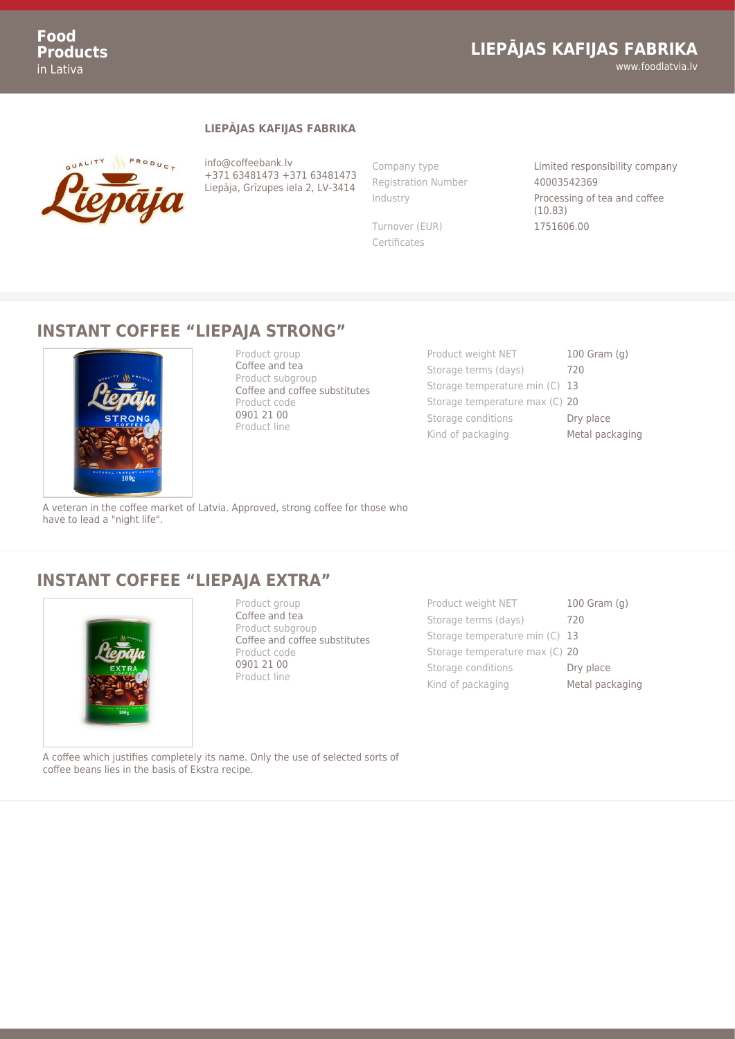## **LIEPĀJAS KAFIJAS FABRIKA**

www.foodlatvia.lv

#### **LIEPĀJAS KAFIJAS FABRIKA**



info@coffeebank.lv +371 63481473 +371 63481473 Liepāja, Grīzupes iela 2, LV-3414

Registration Number 40003542369

Certificates

Company type Limited responsibility company Industry Processing of tea and coffee (10.83) Turnover (EUR) 1751606.00

#### **INSTANT COFFEE "LIEPAJA STRONG"**



Product group Coffee and tea Product subgroup Coffee and coffee substitutes Product code 0901 21 00 Product line

Product weight NET 100 Gram (g) Storage terms (days) 720 Storage temperature min (C) 13 Storage temperature max (C) 20 Storage conditions **Dry place** Kind of packaging Metal packaging

A veteran in the coffee market of Latvia. Approved, strong coffee for those who have to lead a "night life".

### **INSTANT COFFEE "LIEPAJA EXTRA"**



Product group Coffee and tea Product subgroup Coffee and coffee substitutes Product code 0901 21 00 Product line

Product weight NET 100 Gram (g) Storage terms (days) 720 Storage temperature min (C) 13 Storage temperature max (C) 20 Storage conditions **Dry place** Kind of packaging Metal packaging

A coffee which justifies completely its name. Only the use of selected sorts of coffee beans lies in the basis of Ekstra recipe.